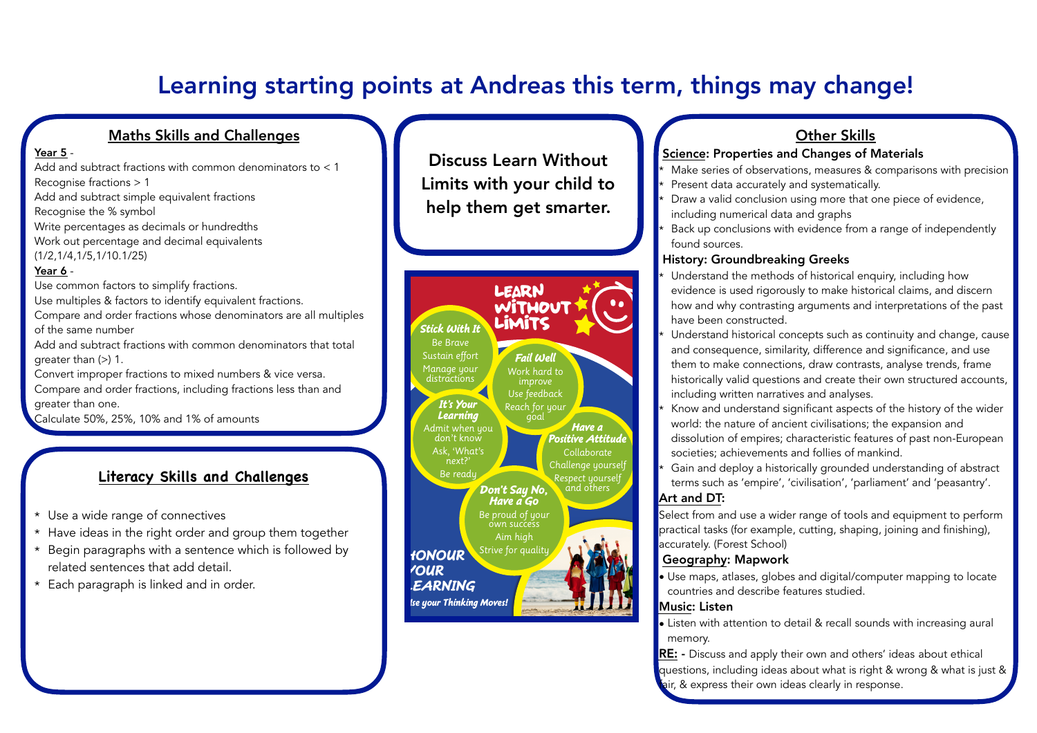# Learning starting points at Andreas this term, things may change!

#### Maths Skills and Challenges

#### Year 5 -

Add and subtract fractions with common denominators to < 1 Recognise fractions > 1 Add and subtract simple equivalent fractions Recognise the % symbol Write percentages as decimals or hundredths Work out percentage and decimal equivalents (1/2,1/4,1/5,1/10.1/25) Year 6 -

Use common factors to simplify fractions. Use multiples & factors to identify equivalent fractions. Compare and order fractions whose denominators are all multiples of the same number Add and subtract fractions with common denominators that total greater than (>) 1. Convert improper fractions to mixed numbers & vice versa.

Compare and order fractions, including fractions less than and greater than one.

Calculate 50%, 25%, 10% and 1% of amounts

## **Literacy Skills and Challenges**

- \* Use a wide range of connectives
- \* Have ideas in the right order and group them together
- \* Begin paragraphs with a sentence which is followed by related sentences that add detail.
- \* Each paragraph is linked and in order.

Discuss Learn Without Limits with your child to help them get smarter.



## Other Skills

#### Science: Properties and Changes of Materials

- Make series of observations, measures & comparisons with precision
- Present data accurately and systematically.
- Draw a valid conclusion using more that one piece of evidence, including numerical data and graphs
- Back up conclusions with evidence from a range of independently found sources.

#### History: Groundbreaking Greeks

- Understand the methods of historical enquiry, including how evidence is used rigorously to make historical claims, and discern how and why contrasting arguments and interpretations of the past have been constructed.
- Understand historical concepts such as continuity and change, cause and consequence, similarity, difference and significance, and use them to make connections, draw contrasts, analyse trends, frame historically valid questions and create their own structured accounts, including written narratives and analyses.
- Know and understand significant aspects of the history of the wider world: the nature of ancient civilisations; the expansion and dissolution of empires; characteristic features of past non-European societies; achievements and follies of mankind.
- Gain and deploy a historically grounded understanding of abstract terms such as 'empire', 'civilisation', 'parliament' and 'peasantry'. Art and DT:

Select from and use a wider range of tools and equipment to perform practical tasks (for example, cutting, shaping, joining and finishing), accurately. (Forest School)

#### Geography: Mapwork

• Use maps, atlases, globes and digital/computer mapping to locate countries and describe features studied.

#### Music: Listen

- Listen with attention to detail & recall sounds with increasing aural memory.
- RE: Discuss and apply their own and others' ideas about ethical questions, including ideas about what is right & wrong & what is just & air, & express their own ideas clearly in response.